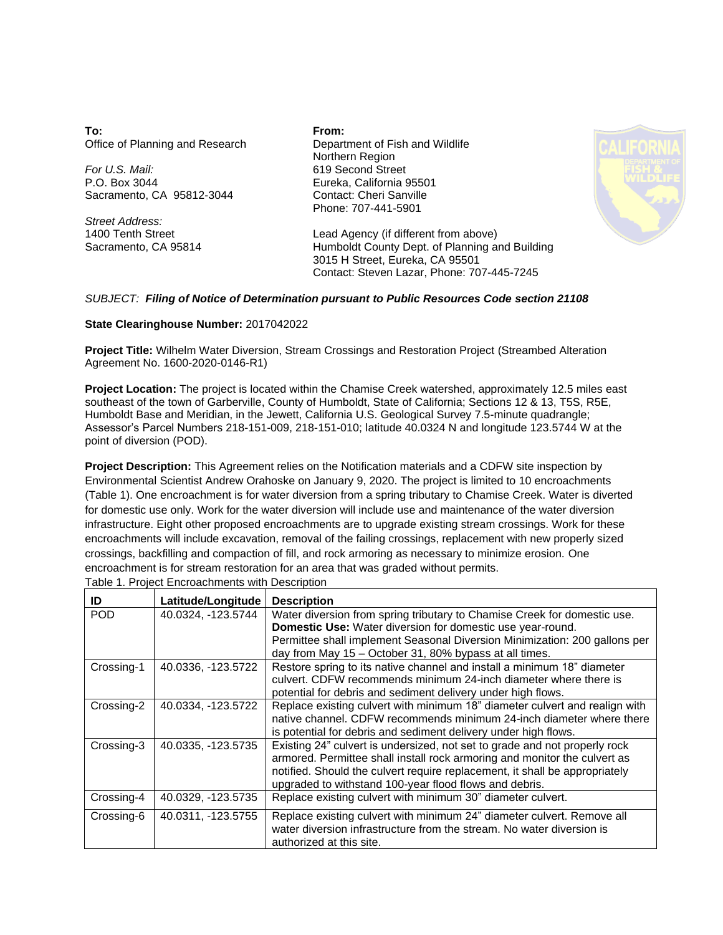**To:** Office of Planning and Research

*For U.S. Mail:* P.O. Box 3044 Sacramento, CA 95812-3044

*Street Address:* 1400 Tenth Street Sacramento, CA 95814 **From:** Department of Fish and Wildlife Northern Region 619 Second Street Eureka, California 95501 Contact: Cheri Sanville Phone: 707-441-5901



Lead Agency (if different from above) Humboldt County Dept. of Planning and Building 3015 H Street, Eureka, CA 95501 Contact: Steven Lazar, Phone: 707-445-7245

## *SUBJECT: Filing of Notice of Determination pursuant to Public Resources Code section 21108*

## **State Clearinghouse Number:** 2017042022

Agreement No. 1600-2020-0146-R1) **Project Title:** Wilhelm Water Diversion, Stream Crossings and Restoration Project (Streambed Alteration

point of diversion (POD). Assessor's Parcel Numbers 218-151-009, 218-151-010; latitude 40.0324 N and longitude 123.5744 W at the Humboldt Base and Meridian, in the Jewett, California U.S. Geological Survey 7.5-minute quadrangle; southeast of the town of Garberville, County of Humboldt, State of California; Sections 12 & 13, T5S, R5E, **Project Location:** The project is located within the Chamise Creek watershed, approximately 12.5 miles east

encroachment is for stream restoration for an area that was graded without permits. crossings, backfilling and compaction of fill, and rock armoring as necessary to minimize erosion. One encroachments will include excavation, removal of the failing crossings, replacement with new properly sized infrastructure. Eight other proposed encroachments are to upgrade existing stream crossings. Work for these for domestic use only. Work for the water diversion will include use and maintenance of the water diversion (Table 1). One encroachment is for water diversion from a spring tributary to Chamise Creek. Water is diverted Environmental Scientist Andrew Orahoske on January 9, 2020. The project is limited to 10 encroachments **Project Description:** This Agreement relies on the Notification materials and a CDFW site inspection by

| ID         | Latitude/Longitude | <b>Description</b>                                                                                                                                                                                                                                                                               |
|------------|--------------------|--------------------------------------------------------------------------------------------------------------------------------------------------------------------------------------------------------------------------------------------------------------------------------------------------|
| <b>POD</b> | 40.0324, -123.5744 | Water diversion from spring tributary to Chamise Creek for domestic use.<br>Domestic Use: Water diversion for domestic use year-round.<br>Permittee shall implement Seasonal Diversion Minimization: 200 gallons per<br>day from May 15 - October 31, 80% bypass at all times.                   |
| Crossing-1 | 40.0336, -123.5722 | Restore spring to its native channel and install a minimum 18" diameter<br>culvert. CDFW recommends minimum 24-inch diameter where there is<br>potential for debris and sediment delivery under high flows.                                                                                      |
| Crossing-2 | 40.0334, -123.5722 | Replace existing culvert with minimum 18" diameter culvert and realign with<br>native channel. CDFW recommends minimum 24-inch diameter where there<br>is potential for debris and sediment delivery under high flows.                                                                           |
| Crossing-3 | 40.0335, -123.5735 | Existing 24" culvert is undersized, not set to grade and not properly rock<br>armored. Permittee shall install rock armoring and monitor the culvert as<br>notified. Should the culvert require replacement, it shall be appropriately<br>upgraded to withstand 100-year flood flows and debris. |
| Crossing-4 | 40.0329, -123.5735 | Replace existing culvert with minimum 30" diameter culvert.                                                                                                                                                                                                                                      |
| Crossing-6 | 40.0311, -123.5755 | Replace existing culvert with minimum 24" diameter culvert. Remove all<br>water diversion infrastructure from the stream. No water diversion is<br>authorized at this site.                                                                                                                      |

Table 1. Project Encroachments with Description